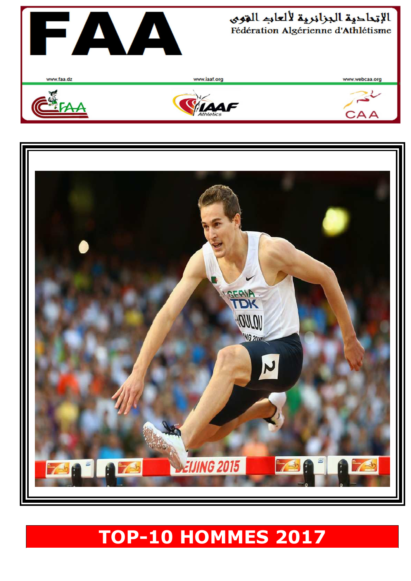

## **TOP-10 HOMMES 2017**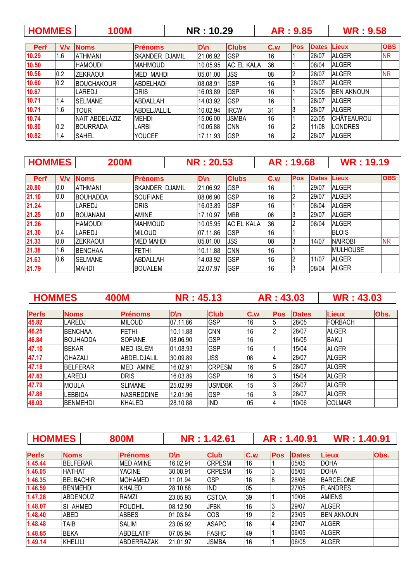| <b>HOMMES</b> |     | <b>100M</b>            |                 | <b>NR: 10.29</b> |                   |     | AR: 9.85   |              | <b>WR: 9.58</b>   |            |
|---------------|-----|------------------------|-----------------|------------------|-------------------|-----|------------|--------------|-------------------|------------|
| <b>Perf</b>   | V/v | <b>Noms</b>            | <b>Prénoms</b>  | <b>D</b> \n      | <b>Clubs</b>      | C.w | <b>Pos</b> | <b>Dates</b> | Lieux             | <b>OBS</b> |
| 10.29         | 1.6 | <b>ATHMANI</b>         | ISKANDER DJAMIL | 21.06.92         | <b>GSP</b>        | 16  |            | 28/07        | <b>ALGER</b>      | <b>NR</b>  |
| 10.50         |     | <b>HAMOUDI</b>         | <b>IMAHMOUD</b> | 10.05.95         | <b>AC EL KALA</b> | 36  |            | 08/04        | <b>ALGER</b>      |            |
| 10.56         | 0.2 | <b>IZEKRAOUI</b>       | IMED MAHDI      | 05.01.00         | JSS               | 08  |            | 28/07        | <b>ALGER</b>      | <b>NR</b>  |
| 10.60         | 0.2 | <b>BOUCHAKOUR</b>      | IABDELHADI      | 08.08.91         | <b>GSP</b>        | 16  |            | 28/07        | <b>ALGER</b>      |            |
| 10.67         |     | LAREDJ                 | <b>DRIS</b>     | 16.03.89         | <b>GSP</b>        | 16  |            | 23/05        | <b>BEN AKNOUN</b> |            |
| 10.71         | 1.4 | <b>SELMANE</b>         | ABDALLAH        | 14.03.92         | GSP               | 16  |            | 28/07        | <b>IALGER</b>     |            |
| 10.71         | 1.6 | <b>TOUR</b>            | ABDELJALLIL     | 10.02.94         | <b>IRCW</b>       | 31  |            | 28/07        | <b>ALGER</b>      |            |
| 10.74         |     | <b>INAIT ABDELAZIZ</b> | <b>MEHDI</b>    | 15.06.00         | <b>JSMBA</b>      | 16  |            | 22/05        | CHÂTEAUROU        |            |
| 10.80         | 0.2 | <b>BOURRADA</b>        | LARBI           | 10.05.88         | <b>CNN</b>        | 16  |            | 11/08        | _ONDRES           |            |
| 10.82         | 1.4 | <b>SAHEL</b>           | <b>YOUCEF</b>   | 17.11.93         | <b>GSP</b>        | 16  |            | 28/07        | <b>ALGER</b>      |            |

| <b>HOMMES</b> |     | <b>200M</b>      |                  | <b>NR: 20.53</b> |              |     | AR: 19.68      |              | <b>WR: 19.19</b> |            |
|---------------|-----|------------------|------------------|------------------|--------------|-----|----------------|--------------|------------------|------------|
| <b>Perf</b>   | V/v | <b>Noms</b>      | <b>Prénoms</b>   | D\n              | <b>Clubs</b> | C.w | <b>Pos</b>     | <b>Dates</b> | Lieux            | <b>OBS</b> |
| 20.80         | 0.0 | <b>ATHMANI</b>   | ISKANDER DJAMIL  | 21.06.92         | <b>GSP</b>   | 16  |                | 29/07        | <b>ALGER</b>     |            |
| 21.10         | 0.0 | <b>BOUHADDA</b>  | ISOUFIANE        | 08.06.90         | <b>GSP</b>   | 16  |                | 29/07        | <b>ALGER</b>     |            |
| 21.24         |     | LAREDJ           | <b>DRIS</b>      | 16.03.89         | <b>GSP</b>   | 16  |                | 08/04        | <b>ALGER</b>     |            |
| 21.25         | 0.0 | <b>BOUANANI</b>  | <b>AMINE</b>     | 17.10.97         | <b>MBB</b>   | 06  | 3              | 29/07        | <b>ALGER</b>     |            |
| 21.26         |     | HAMOUDI          | <b>MAHMOUD</b>   | 10.05.95         | IAC EL KALA  | 36  | $\overline{2}$ | 08/04        | <b>ALGER</b>     |            |
| 21.30         | 0.4 | LAREDJ           | <b>MILOUD</b>    | 07.11.86         | <b>GSP</b>   | 16  |                |              | <b>BLOIS</b>     |            |
| 21.33         | 0.0 | <b>IZEKRAOUI</b> | <b>MED MAHDI</b> | 05.01.00         | JSS          | 08  | 3              | 14/07        | <b>NAIROBI</b>   | <b>NR</b>  |
| 21.38         | 1.6 | <b>BENCHAA</b>   | <b>FETHI</b>     | 10.11.88         | <b>CNN</b>   | 16  |                |              | <b>MULHOUSE</b>  |            |
| 21.63         | 0.6 | <b>SELMANE</b>   | IABDALLAH        | 14.03.92         | <b>GSP</b>   | 16  |                | 11/07        | <b>ALGER</b>     |            |
| 21.79         |     | <b>MAHDI</b>     | <b>BOUALEM</b>   | 22.07.97         | <b>GSP</b>   | 16  |                | 08/04        | <b>ALGER</b>     |            |

|              | <b>HOMMES</b>   | 400M             | <b>NR: 45.13</b> |                |     | AR: 43.03  |              | <b>WR: 43.03</b> |      |
|--------------|-----------------|------------------|------------------|----------------|-----|------------|--------------|------------------|------|
| <b>Perfs</b> | <b>Noms</b>     | <b>Prénoms</b>   | <b>D</b> \n      | <b>Club</b>    | C.w | <b>Pos</b> | <b>Dates</b> | <b>Lieux</b>     | Obs. |
| 45.82        | LAREDJ          | <b>MILOUD</b>    | 07.11.86         | <b>GSP</b>     | 16  |            | 28/05        | <b>IFORBACH</b>  |      |
| 46.25        | <b>IBENCHAA</b> | <b>FETHI</b>     | 10.11.88         | <b>CNN</b>     | 16  |            | 28/07        | <b>ALGER</b>     |      |
| 46.84        | <b>BOUHADDA</b> | <b>SOFIANE</b>   | 08.06.90         | <b>GSP</b>     | 16  |            | 16/05        | <b>BAKU</b>      |      |
| 47.10        | <b>BEKAR</b>    | <b>MED ISLEM</b> | 01.08.93         | <b>GSP</b>     | 16  |            | 15/04        | <b>ALGER</b>     |      |
| 47.17        | <b>GHAZALI</b>  | ABDELDJALIL      | 30.09.89         | <b>JSS</b>     | 08  |            | 28/07        | <b>ALGER</b>     |      |
| 47.18        | <b>BELFERAR</b> | <b>MED AMINE</b> | 16.02.91         | <b>CRPESM</b>  | 16  |            | 28/07        | <b>ALGER</b>     |      |
| 47.63        | LAREDJ          | <b>DRIS</b>      | 16.03.89         | <b>GSP</b>     | 16  |            | 15/04        | <b>ALGER</b>     |      |
| 47.79        | <b>MOULA</b>    | <b>SLIMANE</b>   | 25.02.99         | <b>IUSMDBK</b> | 15  |            | 28/07        | <b>ALGER</b>     |      |
| 47.88        | LEBBIDA         | INASREDDINE      | 12.01.96         | <b>GSP</b>     | 16  |            | 28/07        | <b>ALGER</b>     |      |
| 48.03        | <b>BENMEHDI</b> | <b>KHALED</b>    | 28.10.88         | <b>IND</b>     | 05  |            | 10/06        | <b>COLMAR</b>    |      |

| <b>HOMMES</b> |                  | <b>800M</b>      |             | NR: 1.42.61   |     |            | AR: 1.40.91  | <b>WR: 1.40.91</b> |      |
|---------------|------------------|------------------|-------------|---------------|-----|------------|--------------|--------------------|------|
| <b>Perfs</b>  | <b>Noms</b>      | <b>Prénoms</b>   | <b>D</b> \n | <b>Club</b>   | C.w | <b>Pos</b> | <b>Dates</b> | <b>Lieux</b>       | Obs. |
| 1.45.44       | <b>BELFERAR</b>  | <b>MED AMINE</b> | 16.02.91    | <b>CRPESM</b> | 16  |            | 05/05        | <b>DOHA</b>        |      |
| 1.46.05       | <b>HATHAT</b>    | <b>YACINE</b>    | 30.08.91    | <b>CRPESM</b> | 16  |            | 05/05        | <b>DOHA</b>        |      |
| 1.46.35       | <b>BELBACHIR</b> | <b>MOHAMED</b>   | 11.01.94    | GSP           | 16  | 18         | 28/06        | <b>BARCELONE</b>   |      |
| 1.46.59       | <b>IBENMEHDI</b> | KHALED           | 28.10.88    | <b>IND</b>    | 05  |            | 27/05        | <b>IFLANDRES</b>   |      |
| 1.47.28       | IABDENOUZ        | RAMZI            | 23.05.93    | <b>CSTOA</b>  | 39  |            | 10/06        | <b>JAMIENS</b>     |      |
| 1.48.07       | ISI AHMED        | <b>FOUDHIL</b>   | 08.12.90    | <b>JFBK</b>   | 16  |            | 29/07        | <b>IALGER</b>      |      |
| 1.48.40       | ABED             | <b>ABBES</b>     | 01.03.84    | <b>ICOS</b>   | 19  |            | 23/05        | <b>BEN AKNOUN</b>  |      |
| 1.48.48       | TAIB             | <b>SALIM</b>     | 23.05.92    | <b>ASAPC</b>  | 16  | 14         | 29/07        | <b>ALGER</b>       |      |
| 1.48.85       | <b>BEKA</b>      | <b>ABDELATIF</b> | 07.05.94    | <b>FASHC</b>  | 49  |            | 06/05        | <b>ALGER</b>       |      |
| 1.49.14       | <b>KHELILI</b>   | IABDERRAZAK      | 21.01.97    | <b>JSMBA</b>  | 16  |            | 06/05        | <b>ALGER</b>       |      |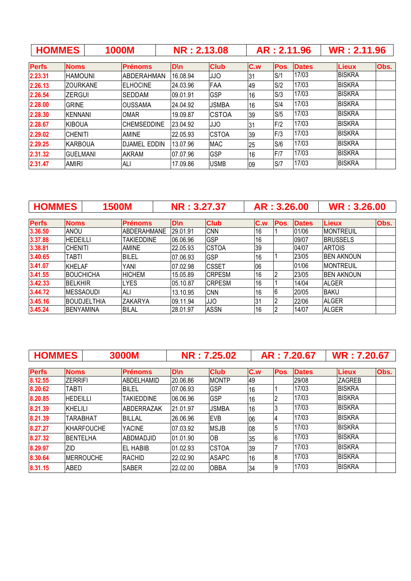| <b>HOMMES</b> |                 | <b>1000M</b>        |             |          | <b>NR: 2.13.08</b> |     | AR: 2.11.96 |              | <b>WR: 2.11.96</b> |      |
|---------------|-----------------|---------------------|-------------|----------|--------------------|-----|-------------|--------------|--------------------|------|
| <b>Perfs</b>  | <b>Noms</b>     | <b>Prénoms</b>      | <b>D</b> \n |          | <b>Club</b>        | C.w | <b>Pos</b>  | <b>Dates</b> | <b>Lieux</b>       | Obs. |
| 2.23.31       | <b>HAMOUNI</b>  | ABDERAHMAN          |             | 16.08.94 | JJO                | 31  | S/1         | 17/03        | <b>IBISKRA</b>     |      |
| 2.26.13       | <b>ZOURKANE</b> | <b>ELHOCINE</b>     |             | 24.03.96 | FAA                | 49  | S/2         | 17/03        | <b>BISKRA</b>      |      |
| 2.26.54       | <b>ZERGUI</b>   | <b>SEDDAM</b>       |             | 09.01.91 | <b>GSP</b>         | 16  | S/3         | 17/03        | <b>BISKRA</b>      |      |
| 2.28.00       | <b>GRINE</b>    | <b>OUSSAMA</b>      |             | 24.04.92 | <b>JSMBA</b>       | 16  | S/4         | 17/03        | <b>BISKRA</b>      |      |
| 2.28.30       | <b>IKENNANI</b> | <b>OMAR</b>         |             | 19.09.87 | <b>CSTOA</b>       | 39  | S/5         | 17/03        | <b>BISKRA</b>      |      |
| 2.28.67       | <b>KIBOUA</b>   | <b>CHEMSEDDINE</b>  |             | 23.04.92 | JJO                | 31  | F/2         | 17/03        | <b>BISKRA</b>      |      |
| 2.29.02       | <b>CHENITI</b>  | <b>AMINE</b>        |             | 22.05.93 | <b>CSTOA</b>       | 39  | F/3         | 17/03        | <b>IBISKRA</b>     |      |
| 2.29.25       | <b>KARBOUA</b>  | <b>DJAMEL EDDIN</b> |             | 13.07.96 | <b>MAC</b>         | 25  | S/6         | 17/03        | <b>BISKRA</b>      |      |
| 2.31.32       | <b>GUELMANI</b> | <b>AKRAM</b>        |             | 07.07.96 | <b>GSP</b>         | 16  | F/7         | 17/03        | <b>BISKRA</b>      |      |
| 2.31.47       | <b>AMIRI</b>    | ALI                 |             | 17.09.86 | <b>USMB</b>        | 09  | S/7         | 17/03        | <b>BISKRA</b>      |      |

| <b>HOMMES</b> |                    | <b>1500M</b>      | NR: 3.27.37 |               |     | AR: 3.26.00    |              | <b>WR: 3.26.00</b> |      |
|---------------|--------------------|-------------------|-------------|---------------|-----|----------------|--------------|--------------------|------|
|               |                    |                   |             |               |     |                |              |                    |      |
| <b>Perfs</b>  | <b>Noms</b>        | <b>Prénoms</b>    | <b>D</b> \n | <b>Club</b>   | C.w | <b>Pos</b>     | <b>Dates</b> | <b>Lieux</b>       | Obs. |
| 3.36.50       | ANOU               | ABDERAHMANE       | 29.01.91    | <b>CNN</b>    | 16  |                | 01/06        | <b>MONTREUIL</b>   |      |
| 3.37.88       | <b>HEDEILLI</b>    | <b>TAKIEDDINE</b> | 06.06.96    | <b>GSP</b>    | 16  |                | 09/07        | <b>BRUSSELS</b>    |      |
| 3.38.81       | <b>CHENITI</b>     | <b>AMINE</b>      | 22.05.93    | <b>CSTOA</b>  | 39  |                | 04/07        | <b>ARTOIS</b>      |      |
| 3.40.65       | TABTI              | <b>BILEL</b>      | 07.06.93    | <b>GSP</b>    | 16  |                | 23/05        | <b>BEN AKNOUN</b>  |      |
| 3.41.07       | <b>KHELAF</b>      | <b>YANI</b>       | 07.02.98    | <b>CSSET</b>  | 06  |                | 01/06        | <b>MONTREUIL</b>   |      |
| 3.41.55       | <b>BOUCHICHA</b>   | <b>HICHEM</b>     | 15.05.89    | <b>CRPESM</b> | 16  |                | 23/05        | <b>BEN AKNOUN</b>  |      |
| 3.42.33       | <b>BELKHIR</b>     | <b>LYES</b>       | 05.10.87    | <b>CRPESM</b> | 16  |                | 14/04        | <b>ALGER</b>       |      |
| 3.44.72       | <b>MESSAOUDI</b>   | <b>ALI</b>        | 13.10.95    | <b>CNN</b>    | 16  |                | 20/05        | <b>BAKU</b>        |      |
| 3.45.16       | <b>BOUDJELTHIA</b> | <b>ZAKARYA</b>    | 09.11.94    | <b>JJO</b>    | 31  | $\overline{2}$ | 22/06        | <b>ALGER</b>       |      |
| 3.45.24       | <b>BENYAMINA</b>   | <b>BILAL</b>      | 28.01.97    | <b>ASSN</b>   | 16  |                | 14/07        | <b>ALGER</b>       |      |

| <b>HOMMES</b> |                   | <b>3000M</b>      |             | <b>NR: 7.25.02</b> |     |            | AR: 7.20.67  | <b>WR: 7.20.67</b> |      |
|---------------|-------------------|-------------------|-------------|--------------------|-----|------------|--------------|--------------------|------|
|               |                   |                   |             |                    |     |            |              |                    |      |
| <b>Perfs</b>  | <b>Noms</b>       | <b>Prénoms</b>    | <b>D</b> \n | <b>Club</b>        | C.w | <b>Pos</b> | <b>Dates</b> | <b>Lieux</b>       | Obs. |
| 8.12.55       | <b>ZERRIFI</b>    | IABDELHAMID       | 20.06.86    | <b>MONTP</b>       | 49  |            | 29/08        | <b>ZAGREB</b>      |      |
| 8.20.62       | TABTI             | <b>BILEL</b>      | 07.06.93    | GSP                | 16  |            | 17/03        | <b>BISKRA</b>      |      |
| 8.20.85       | <b>HEDEILLI</b>   | <b>TAKIEDDINE</b> | 06.06.96    | GSP                | 16  |            | 17/03        | <b>BISKRA</b>      |      |
| 8.21.39       | KHELILI           | IABDERRAZAK       | 21.01.97    | <b>JSMBA</b>       | 16  | 13         | 17/03        | <b>BISKRA</b>      |      |
| 8.21.39       | TARABHAT          | <b>BILLAL</b>     | 26.06.96    | <b>EVB</b>         | 06  | 4          | 17/03        | <b>BISKRA</b>      |      |
| 8.27.27       | <b>KHARFOUCHE</b> | <b>YACINE</b>     | 07.03.92    | <b>MSJB</b>        | 08  | 15         | 17/03        | <b>BISKRA</b>      |      |
| 8.27.32       | <b>BENTELHA</b>   | <b>ABDMADJID</b>  | 01.01.90    | <b>OB</b>          | 35  | 6          | 17/03        | <b>BISKRA</b>      |      |
| 8.29.97       | ZID               | <b>EL HABIB</b>   | 01.02.93    | <b>CSTOA</b>       | 39  |            | 17/03        | <b>BISKRA</b>      |      |
| 8.30.64       | <b>IMERROUCHE</b> | <b>RACHID</b>     | 22.02.90    | <b>ASAPC</b>       | 16  | 18         | 17/03        | <b>BISKRA</b>      |      |
| 8.31.15       | ABED              | <b>ISABER</b>     | 22.02.00    | <b>OBBA</b>        | 34  | 19         | 17/03        | <b>BISKRA</b>      |      |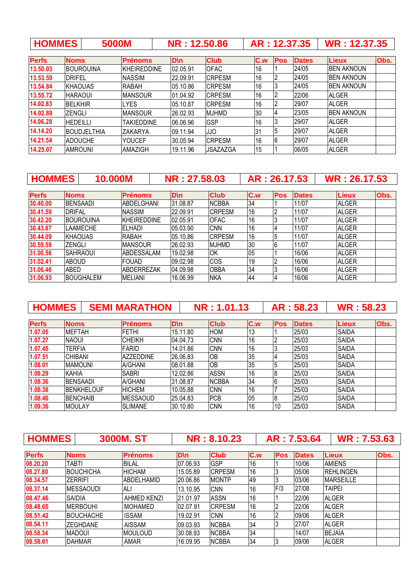| <b>HOMMES</b> | <b>5000M</b> | NR: 12.50.86 |  | $AR: 12.37.35$ WR : 12.37.35 |
|---------------|--------------|--------------|--|------------------------------|
|---------------|--------------|--------------|--|------------------------------|

| <b>Perfs</b> | <b>Noms</b>        | <b>Prénoms</b>     | <b>D</b> \n | <b>Club</b>     | C.w | <b>Pos</b> | <b>Dates</b> | <b>Lieux</b>      | Obs. |
|--------------|--------------------|--------------------|-------------|-----------------|-----|------------|--------------|-------------------|------|
| 13.50.03     | IBOUROUINA         | <b>KHEIREDDINE</b> | 02.05.91    | <b>OFAC</b>     | 16  |            | 24/05        | <b>BEN AKNOUN</b> |      |
| 13.53.59     | <b>DRIFEL</b>      | <b>NASSIM</b>      | 22.09.91    | <b>ICRPESM</b>  | 16  |            | 24/05        | <b>BEN AKNOUN</b> |      |
| 13.54.84     | <b>KHAOUAS</b>     | <b>RABAH</b>       | 05.10.86    | <b>CRPESM</b>   | 16  |            | 24/05        | <b>BEN AKNOUN</b> |      |
| 13.55.72     | <b>HARAOUI</b>     | <b>MANSOUR</b>     | 01.04.92    | <b>CRPESM</b>   | 16  |            | 22/06        | <b>ALGER</b>      |      |
| 14.02.83     | <b>I</b> BELKHIR   | <b>LYES</b>        | 105.10.87   | <b>ICRPESM</b>  | 16  |            | 29/07        | <b>ALGER</b>      |      |
| 14.02.89     | ZENGLI             | <b>MANSOUR</b>     | 26.02.93    | <b>IMJHMD</b>   | 30  | 14         | 23/05        | <b>BEN AKNOUN</b> |      |
| 14.06.28     | <b>HEDEILLI</b>    | <b>TAKIEDDINE</b>  | 06.06.96    | <b>GSP</b>      | 16  |            | 29/07        | <b>ALGER</b>      |      |
| 14.14.20     | <b>BOUDJELTHIA</b> | <b>ZAKARYA</b>     | 109.11.94   | <b>JJO</b>      | 31  | 15         | 29/07        | <b>ALGER</b>      |      |
| 14.21.54     | <b>ADOUCHE</b>     | <b>YOUCEF</b>      | 30.05.94    | <b>CRPESM</b>   | 16  | 6          | 29/07        | <b>ALGER</b>      |      |
| 14.25.07     | <b>AMROUNI</b>     | AMAZIGH            | 19.11.96    | <b>JSAZAZGA</b> | 15  |            | 06/05        | <b>ALGER</b>      |      |

| <b>HOMMES</b> |                | 10.000M          |                    | NR: 27,58,03 |               |     | AR: 26.17.53 |              | <b>WR: 26.17.53</b> |      |
|---------------|----------------|------------------|--------------------|--------------|---------------|-----|--------------|--------------|---------------------|------|
| <b>Perfs</b>  | <b>Noms</b>    |                  | <b>Prénoms</b>     | D\n          | <b>Club</b>   | C.w | Pos          | <b>Dates</b> | <b>Lieux</b>        | Obs. |
| 30.40.00      |                | <b>BENSAADI</b>  | ABDEL GHANI        | 31.08.87     | <b>NCBBA</b>  | 34  |              | 11/07        | <b>ALGER</b>        |      |
| 30.41.59      | <b>DRIFAL</b>  |                  | <b>NASSIM</b>      | 22.09.91     | <b>CRPESM</b> | 16  |              | 11/07        | <b>ALGER</b>        |      |
| 30.42.20      |                | <b>BOUROUINA</b> | <b>KHEIREDDINE</b> | 02.05.91     | <b>OFAC</b>   | 16  | 3            | 11/07        | <b>ALGER</b>        |      |
| 30.43.87      |                | <b>LAAMECHE</b>  | <b>FLHADI</b>      | 05.03.90     | <b>CNN</b>    | 16  | 4            | 11/07        | <b>ALGER</b>        |      |
| 30.44.09      | <b>KHAOUAS</b> |                  | RABAH              | 05.10.86     | <b>CRPESM</b> | 16  | 5            | 11/07        | <b>ALGER</b>        |      |
| 30.59.59      | ZENGLI         |                  | <b>MANSOUR</b>     | 26.02.93     | <b>MJHMD</b>  | 30  | 6            | 11/07        | <b>ALGER</b>        |      |
| 31.00.56      |                | <b>ISAHRAOUI</b> | ABDESSALAM         | 19.02.98     | ЮK            | 05  |              | 16/06        | <b>ALGER</b>        |      |
| 31.02.41      | <b>ABOUD</b>   |                  | <b>FOUAD</b>       | 09.02.98     | <b>COS</b>    | 19  |              | 16/06        | <b>ALGER</b>        |      |
| 31.06.46      | <b>ABED</b>    |                  | <b>ABDERREZAK</b>  | 04.09.98     | <b>OBBA</b>   | 34  |              | 16/06        | <b>ALGER</b>        |      |
| 31.06.93      |                | <b>BOUGHALEM</b> | <b>MELIANI</b>     | 16.06.99     | <b>NKA</b>    | 44  | 4            | 16/06        | <b>ALGER</b>        |      |

| <b>HOMMES</b> |                   | <b>SEMI MARATHON</b> |             | NR: 1.01.13  |     |            | AR: 58.23    | <b>WR: 58.23</b> |      |
|---------------|-------------------|----------------------|-------------|--------------|-----|------------|--------------|------------------|------|
|               |                   |                      |             |              |     |            |              |                  |      |
| <b>Perfs</b>  | <b>Noms</b>       | <b>Prénoms</b>       | <b>D</b> \n | <b>Club</b>  | C.w | <b>Pos</b> | <b>Dates</b> | <b>Lieux</b>     | Obs. |
| 1.07.05       | MEFTAH            | <b>FETHI</b>         | 15.11.80    | <b>HOM</b>   | 13  |            | 25/03        | <b>SAIDA</b>     |      |
| 1.07.27       | <b>NAOUI</b>      | <b>CHEIKH</b>        | 04.04.73    | <b>CNN</b>   | 16  |            | 25/03        | <b>SAIDA</b>     |      |
| 1.07.45       | TERFIA            | FARID                | 14.01.86    | <b>CNN</b>   | 16  |            | 25/03        | <b>SAIDA</b>     |      |
| 1.07.51       | <b>CHIBANI</b>    | <b>AZZEDDINE</b>     | 26.06.83    | OB           | 35  | 4          | 25/03        | <b>SAIDA</b>     |      |
| 1.08.01       | <b>MAMOUNI</b>    | A/GHANI              | 08.01.88    | OB           | 35  | 5          | 25/03        | <b>SAIDA</b>     |      |
| 1.08.29       | <b>KAHIA</b>      | <b>SABRI</b>         | 12.02.86    | <b>ASSN</b>  | 16  | 8          | 25/03        | <b>SAIDA</b>     |      |
| 1.08.36       | <b>BENSAADI</b>   | A/GHANI              | 31.08.87    | <b>NCBBA</b> | 34  | 6          | 25/03        | <b>SAIDA</b>     |      |
| 1.08.38       | <b>BENKHELOUF</b> | <b>HICHEM</b>        | 10.05.88    | <b>CNN</b>   | 16  |            | 25/03        | <b>SAIDA</b>     |      |
| 1.08.46       | <b>BENCHAIB</b>   | <b>MESSAOUD</b>      | 25.04.83    | <b>PCB</b>   | 05  | 8          | 25/03        | <b>SAIDA</b>     |      |
| 1.09.36       | <b>MOULAY</b>     | <b>ISLIMANE</b>      | 30.10.80    | <b>CNN</b>   | 16  | 10         | 25/03        | <b>SAIDA</b>     |      |

| <b>HOMMES</b> |                |                  | <b>3000M.ST</b> |             | NR: 8.10.23   |     |                | AR: 7.53.64  | <b>WR: 7.53.63</b> |      |
|---------------|----------------|------------------|-----------------|-------------|---------------|-----|----------------|--------------|--------------------|------|
| <b>Perfs</b>  | <b>Noms</b>    |                  | <b>Prénoms</b>  | <b>D</b> \n | <b>Club</b>   | C.w | Pos            | <b>Dates</b> | <b>Lieux</b>       | Obs. |
| 08.20.20      | <b>TABTI</b>   |                  | BILAL           | 07.06.93    | <b>GSP</b>    | 16  |                | 10/06        | <b>AMIENS</b>      |      |
| 08.27.80      |                | <b>BOUCHICHA</b> | <b>HICHAM</b>   | 15.05.89    | <b>CRPESM</b> | 16  | 3              | 05/06        | <b>REHLINGEN</b>   |      |
| 08.34.57      | <b>ZERRIFI</b> |                  | IABDELHAMID     | 20.06.86    | <b>MONTP</b>  | 49  | 3              | 03/06        | <b>MARSEILLE</b>   |      |
| 08.37.14      |                | <b>MESSAOUDI</b> | ALI             | 13.10.95    | <b>CNN</b>    | 16  | F/3            | 27/08        | <b>TAIPEI</b>      |      |
| 08.47.46      | <b>SAIDIA</b>  |                  | AHMED KENZI     | 21.01.97    | <b>ASSN</b>   | 16  |                | 22/06        | <b>ALGER</b>       |      |
| 08.48.65      |                | <b>MERBOUHI</b>  | <b>MOHAMED</b>  | 02.07.91    | <b>CRPESM</b> | 16  | 2              | 22/06        | <b>ALGER</b>       |      |
| 08.51.42      |                | <b>BOUCHACHE</b> | <b>ISSAM</b>    | 19.02.91    | <b>CNN</b>    | 16  | $\overline{c}$ | 09/06        | <b>ALGER</b>       |      |
| 08.54.11      |                | <b>ZEGHDANE</b>  | <b>AISSAM</b>   | 09.03.93    | <b>NCBBA</b>  | 34  | 3              | 27/07        | <b>ALGER</b>       |      |
| 08.58.34      | <b>MADOUI</b>  |                  | <b>MOULOUD</b>  | 30.08.93    | <b>NCBBA</b>  | 34  |                | 14/07        | <b>BEJAIA</b>      |      |
| 08.58.61      | <b>DAHMAR</b>  |                  | AMAR            | 16.09.95    | <b>NCBBA</b>  | 34  | 3              | 09/06        | <b>ALGER</b>       |      |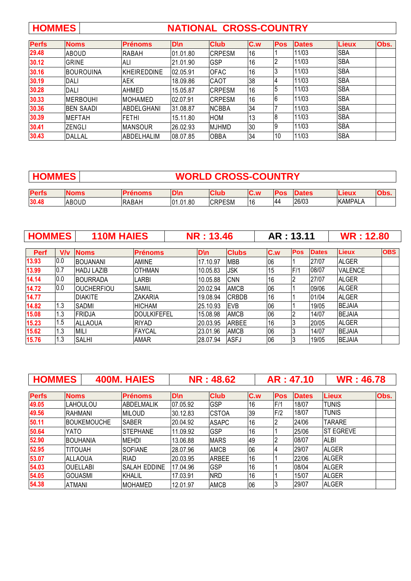## **HOMMES NATIONAL CROSS-COUNTRY**

| <b>Perfs</b> | <b>Noms</b>      | <b>Prénoms</b>     | <b>D</b> \n | <b>Club</b>   | C.w | <b>Pos</b> | <b>Dates</b> | <b>Lieux</b> | Obs. |
|--------------|------------------|--------------------|-------------|---------------|-----|------------|--------------|--------------|------|
| 29.48        | ABOUD            | <b>RABAH</b>       | 01.01.80    | <b>CRPESM</b> | 16  |            | 11/03        | <b>SBA</b>   |      |
| 30.12        | GRINE            | <b>ALI</b>         | 21.01.90    | <b>GSP</b>    | 16  |            | 11/03        | <b>SBA</b>   |      |
| 30.16        | <b>BOUROUINA</b> | <b>KHEIREDDINE</b> | 02.05.91    | <b>OFAC</b>   | 16  | 13         | 11/03        | <b>SBA</b>   |      |
| 30.19        | DALI             | <b>AEK</b>         | 18.09.86    | <b>CAOT</b>   | 38  | 4          | 11/03        | <b>SBA</b>   |      |
| 30.28        | DALI             | AHMED              | 15.05.87    | <b>CRPESM</b> | 16  | 5          | 11/03        | <b>SBA</b>   |      |
| 30.33        | <b>MERBOUHI</b>  | <b>MOHAMED</b>     | 02.07.91    | <b>CRPESM</b> | 16  | 6          | 11/03        | <b>SBA</b>   |      |
| 30.36        | <b>BEN SAADI</b> | <b>ABDELGHANI</b>  | 31.08.87    | <b>NCBBA</b>  | 34  |            | 11/03        | <b>SBA</b>   |      |
| 30.39        | <b>MEFTAH</b>    | <b>FETHI</b>       | 15.11.80    | <b>HOM</b>    | 13  | 8          | 11/03        | <b>SBA</b>   |      |
| 30.41        | ZENGLI           | <b>MANSOUR</b>     | 26.02.93    | <b>MJHMD</b>  | 30  | 19         | 11/03        | <b>SBA</b>   |      |
| 30.43        | DALLAL           | ABDELHALIM         | 08.07.85    | <b>OBBA</b>   | 34  | 10         | 11/03        | <b>SBA</b>   |      |

| <b>WORLD CROSS-COUNTRY</b><br><b>HOMMES</b> |             |                |             |               |             |            |              |                |      |
|---------------------------------------------|-------------|----------------|-------------|---------------|-------------|------------|--------------|----------------|------|
| <b>Perfs</b>                                | <b>Noms</b> | <b>Prénoms</b> | <b>D</b> \n | <b>Club</b>   | <b>IC.w</b> | <b>Pos</b> | <b>Dates</b> | Lieux          | Obs. |
| 30.48                                       | ABOUD       | <b>IRABAH</b>  | 01.01.80    | <b>CRPESM</b> | 16          | 44         | 26/03        | <b>KAMPALA</b> |      |

| <b>HOMMES</b> |     | <b>110M HAIES</b> |                | <b>NR: 13.46</b> |              |     | AR: 13.11  |              | <b>WR: 12.80</b> |            |
|---------------|-----|-------------------|----------------|------------------|--------------|-----|------------|--------------|------------------|------------|
|               |     |                   |                |                  |              |     |            |              |                  |            |
| Perf          | V/v | <b>Noms</b>       | <b>Prénoms</b> | <b>D</b> \n      | <b>Clubs</b> | C.w | <b>Pos</b> | <b>Dates</b> | Lieux            | <b>OBS</b> |
| 13.93         | 0.0 | <b>BOUANANI</b>   | <b>AMINE</b>   | 17.10.97         | <b>MBB</b>   | 06  |            | 27/07        | <b>ALGER</b>     |            |
| 13.99         | 0.7 | <b>HADJ LAZIB</b> | IOTHMAN        | 10.05.83         | JSK          | 15  | F/1        | 08/07        | <b>VALENCE</b>   |            |
| 14.14         | 0.0 | <b>BOURRADA</b>   | LARBI          | 10.05.88         | <b>CNN</b>   | 16  |            | 27/07        | <b>ALGER</b>     |            |
| 14.72         | 0.0 | <b>OUCHERFIOU</b> | <b>SAMIL</b>   | 20.02.94         | <b>AMCB</b>  | 06  |            | 09/06        | <b>ALGER</b>     |            |
| 14.77         |     | <b>IDIAKITE</b>   | <b>ZAKARIA</b> | 19.08.94         | <b>CRBDB</b> | 16  |            | 01/04        | <b>ALGER</b>     |            |
| 14.82         | 1.3 | <b>SADMI</b>      | <b>HICHAM</b>  | 25.10.93         | <b>EVB</b>   | 06  |            | 19/05        | <b>BEJAIA</b>    |            |
| 15.08         | 1.3 | <b>FRIDJA</b>     | IDOULKIFEFEL   | 15.08.98         | <b>AMCB</b>  | 06  |            | 14/07        | <b>BEJAIA</b>    |            |
| 15.23         | 1.5 | <b>ALLAOUA</b>    | <b>RIYAD</b>   | 20.03.95         | <b>ARBEE</b> | 16  |            | 20/05        | <b>ALGER</b>     |            |
| 15.62         | 1.3 | <b>MILI</b>       | <b>FAYCAL</b>  | 23.01.96         | <b>AMCB</b>  | 06  | 3          | 14/07        | <b>BEJAIA</b>    |            |
| 15.76         | 1.3 | <b>SALHI</b>      | <b>AMAR</b>    | 28.07.94         | <b>ASFJ</b>  | 06  | 3          | 19/05        | <b>BEJAIA</b>    |            |

| <b>HOMMES</b> |                 |                    | <b>400M. HAIES</b>  |             | <b>NR: 48.62</b> |     |            | AR: 47.10    | <b>WR: 46.78</b>  |      |
|---------------|-----------------|--------------------|---------------------|-------------|------------------|-----|------------|--------------|-------------------|------|
|               |                 |                    |                     |             |                  |     |            |              |                   |      |
| <b>Perfs</b>  | <b>Noms</b>     |                    | <b>Prénoms</b>      | <b>D</b> \n | <b>Club</b>      | C.w | <b>Pos</b> | <b>Dates</b> | <b>Lieux</b>      | Obs. |
| 49.05         |                 | <b>LAHOULOU</b>    | <b>ABDELMALIK</b>   | 07.05.92    | <b>GSP</b>       | 16  | F/1        | 18/07        | <b>TUNIS</b>      |      |
| 49.56         | RAHMANI         |                    | <b>MILOUD</b>       | 30.12.83    | <b>CSTOA</b>     | 39  | F/2        | 18/07        | <b>TUNIS</b>      |      |
| 50.11         |                 | <b>BOUKEMOUCHE</b> | <b>SABER</b>        | 20.04.92    | <b>ASAPC</b>     | 16  |            | 24/06        | <b>TARARE</b>     |      |
| 50.64         | YATO            |                    | <b>ISTEPHANE</b>    | 11.09.92    | GSP              | 16  |            | 25/06        | <b>IST EGREVE</b> |      |
| 52.90         | IBOUHANIA       |                    | <b>MEHDI</b>        | 13.06.88    | <b>MARS</b>      | 49  |            | 08/07        | <b>ALBI</b>       |      |
| 52.95         | <b>TITOUAH</b>  |                    | <b>SOFIANE</b>      | 28.07.96    | <b>AMCB</b>      | 06  | 4          | 29/07        | <b>ALGER</b>      |      |
| 53.07         | <b>ALLAOUA</b>  |                    | <b>RIAD</b>         | 20.03.95    | <b>ARBEE</b>     | 16  |            | 22/06        | <b>ALGER</b>      |      |
| 54.03         | <b>OUFLIABL</b> |                    | <b>SALAH EDDINE</b> | 17.04.96    | <b>GSP</b>       | 16  |            | 08/04        | <b>ALGER</b>      |      |
| 54.05         | <b>GOUASMI</b>  |                    | KHALIL              | 17.03.91    | <b>NRD</b>       | 16  |            | 15/07        | <b>ALGER</b>      |      |
| 54.38         | <b>ATMANI</b>   |                    | <b>MOHAMED</b>      | 12.01.97    | <b>AMCB</b>      | 06  | l3         | 29/07        | <b>ALGER</b>      |      |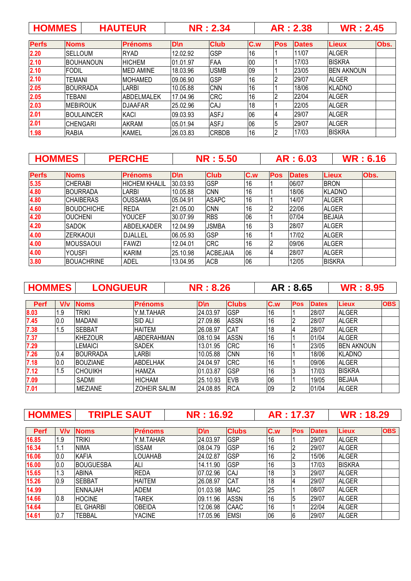| - 7<br>- 3<br>. <del>.</del> |
|------------------------------|
|------------------------------|

| <b>Perfs</b> | <b>Noms</b>      | <b>Prénoms</b>   | D\n      | <b>Club</b>  | C.w | <b>Pos</b> | <b>Dates</b> | <b>Lieux</b>      | Obs. |
|--------------|------------------|------------------|----------|--------------|-----|------------|--------------|-------------------|------|
| 2.20         | <b>SELLOUM</b>   | <b>RYAD</b>      | 12.02.92 | <b>GSP</b>   | 16  |            | 11/07        | <b>ALGER</b>      |      |
| 2.10         | IBOUHANOUN       | <b>HICHEM</b>    | 01.01.97 | FAA          | 00  |            | 17/03        | <b>BISKRA</b>     |      |
| 2.10         | FODIL            | <b>MED AMINE</b> | 18.03.96 | <b>USMB</b>  | 09  |            | 23/05        | <b>BEN AKNOUN</b> |      |
| 2.10         | TEMANI           | <b>IMOHAMED</b>  | 09.06.90 | <b>GSP</b>   | 16  |            | 29/07        | <b>ALGER</b>      |      |
| 2.05         | IBOURRADA        | <b>LARBI</b>     | 10.05.88 | <b>CNN</b>   | 16  |            | 18/06        | KLADNO            |      |
| 2.05         | TEBANI           | ABDELMALEK       | 17.04.96 | <b>CRC</b>   | 16  | מו         | 22/04        | <b>ALGER</b>      |      |
| 2.03         | <b>IMEBIROUK</b> | <b>DJAAFAR</b>   | 25.02.96 | CAJ          | 18  |            | 22/05        | <b>ALGER</b>      |      |
| 2.01         | IBOULAINCER      | KACI             | 09.03.93 | <b>ASFJ</b>  | 06  |            | 29/07        | <b>ALGER</b>      |      |
| 2.01         | <b>CHENGARI</b>  | <b>AKRAM</b>     | 05.01.94 | <b>ASFJ</b>  | 06  | 15         | 29/07        | <b>ALGER</b>      |      |
| 1.98         | <b>RABIA</b>     | <b>KAMEL</b>     | 26.03.83 | <b>CRBDB</b> | 16  |            | 17/03        | <b>BISKRA</b>     |      |

|              | <b>HOMMES</b>    |                   | <b>PERCHE</b>        |          | <b>NR: 5.50</b> |     |            | AR: 6.03     |               | <b>WR: 6.16</b> |
|--------------|------------------|-------------------|----------------------|----------|-----------------|-----|------------|--------------|---------------|-----------------|
| <b>Perfs</b> | <b>Noms</b>      |                   | <b>Prénoms</b>       | D\n      | <b>Club</b>     | C.w | <b>Pos</b> | <b>Dates</b> | <b>Lieux</b>  | Obs.            |
| 5.35         | <b>CHERABI</b>   |                   | <b>HICHEM KHALIL</b> | 30.03.93 | <b>GSP</b>      | 16  |            | 06/07        | <b>BRON</b>   |                 |
| 4.80         | <b>BOURRADA</b>  |                   | <b>LARBI</b>         | 10.05.88 | <b>CNN</b>      | 16  |            | 18/06        | <b>KLADNO</b> |                 |
| 4.80         | <b>CHAIBERAS</b> |                   | <b>OUSSAMA</b>       | 05.04.91 | <b>ASAPC</b>    | 16  |            | 14/07        | <b>ALGER</b>  |                 |
| 4.60         |                  | <b>BOUDCHICHE</b> | <b>REDA</b>          | 21.05.00 | <b>CNN</b>      | 16  |            | 22/06        | <b>ALGER</b>  |                 |
| 4.20         | <b>OUCHENI</b>   |                   | <b>YOUCEF</b>        | 30.07.99 | <b>RBS</b>      | 06  |            | 07/04        | <b>BEJAIA</b> |                 |
| 4.20         | <b>SADOK</b>     |                   | ABDELKADER           | 12.04.99 | JSMBA           | 16  |            | 28/07        | <b>ALGER</b>  |                 |
| 4.00         | <b>ZERKAOUI</b>  |                   | <b>DJALLEL</b>       | 06.05.93 | GSP             | 16  |            | 17/02        | <b>ALGER</b>  |                 |
| 4.00         | IMOUSSAOUI       |                   | <b>FAWZI</b>         | 12.04.01 | <b>CRC</b>      | 16  |            | 09/06        | <b>ALGER</b>  |                 |
| 4.00         | YOUSFI           |                   | <b>KARIM</b>         | 25.10.98 | <b>ACBEJAIA</b> | 06  |            | 28/07        | <b>ALGER</b>  |                 |
| 3.80         |                  | <b>BOUACHRINE</b> | ADEL                 | 13.04.95 | <b>ACB</b>      | 06  |            | 12/05        | <b>BISKRA</b> |                 |

| <b>HOMMES</b> | <b>LONGUEUR</b> | <b>NR</b> : 8.26 | AR: 8.65 | <b>WR: 8.95</b> |
|---------------|-----------------|------------------|----------|-----------------|
|---------------|-----------------|------------------|----------|-----------------|

| Perf | V/v | <b>Noms</b>     | <b>Prénoms</b>      | D\n      | <b>Clubs</b> | C.w | <b>Pos</b> | <b>Dates</b> | <b>Lieux</b>      | <b>OBS</b> |
|------|-----|-----------------|---------------------|----------|--------------|-----|------------|--------------|-------------------|------------|
| 8.03 | 1.9 | <b>TRIKI</b>    | Y.M.TAHAR           | 24.03.97 | <b>GSP</b>   | 16  |            | 28/07        | <b>ALGER</b>      |            |
| 7.45 | 0.0 | <b>MADANI</b>   | <b>SID ALI</b>      | 27.09.86 | <b>ASSN</b>  | 16  |            | 28/07        | <b>ALGER</b>      |            |
| 7.38 | 1.5 | <b>SEBBAT</b>   | <b>HAITEM</b>       | 26.08.97 | <b>CAT</b>   | 18  |            | 28/07        | <b>ALGER</b>      |            |
| 7.37 |     | <b>KHEZOUR</b>  | <b>ABDERAHMAN</b>   | 08.10.94 | <b>ASSN</b>  | 16  |            | 01/04        | <b>ALGER</b>      |            |
| 7.29 |     | LEMAICI         | <b>SADEK</b>        | 13.01.95 | <b>CRC</b>   | 16  |            | 23/05        | <b>BEN AKNOUN</b> |            |
| 7.26 | 0.4 | <b>BOURRADA</b> | <b>LARBI</b>        | 10.05.88 | <b>CNN</b>   | 16  |            | 18/06        | <b>KLADNO</b>     |            |
| 7.18 | 0.0 | <b>BOUZIANE</b> | <b>ABDELHAK</b>     | 24.04.97 | <b>CRC</b>   | 16  |            | 09/06        | <b>ALGER</b>      |            |
| 7.12 | 1.5 | <b>CHOUIKH</b>  | <b>HAMZA</b>        | 01.03.87 | <b>GSP</b>   | 16  |            | 17/03        | <b>BISKRA</b>     |            |
| 7.09 |     | SADMI           | <b>HICHAM</b>       | 25.10.93 | <b>EVB</b>   | 06  |            | 19/05        | <b>BEJAIA</b>     |            |
| 7.01 |     | <b>MEZIANE</b>  | <b>ZOHEIR SALIM</b> | 24.08.85 | <b>RCA</b>   | 09  |            | 01/04        | <b>ALGER</b>      |            |

| HOMMES   TRIPLE SAUT | <b>NR</b> : 16.92 | AR: 17.37 | <b>WR</b> : 18.29 |
|----------------------|-------------------|-----------|-------------------|
|                      |                   |           |                   |

| <b>Perf</b> | V/v  | <b>Noms</b>      | <b>Prénoms</b> | $D \setminus n$ | <b>Clubs</b> | C.w | <b>Pos</b> | <b>Dates</b> | <b>Lieux</b>  | <b>OBS</b> |
|-------------|------|------------------|----------------|-----------------|--------------|-----|------------|--------------|---------------|------------|
| 16.85       | l1.9 | <b>TRIKI</b>     | Y.M.TAHAR      | 24.03.97        | <b>GSP</b>   | 16  |            | 29/07        | <b>ALGER</b>  |            |
| 16.34       | 1.1  | <b>NIMA</b>      | <b>ISSAM</b>   | 08.04.79        | <b>GSP</b>   | 16  |            | 29/07        | <b>ALGER</b>  |            |
| 16.06       | 0.0  | <b>KAFIA</b>     | <b>LOUAHAB</b> | 24.02.87        | <b>GSP</b>   | 16  |            | 15/06        | <b>ALGER</b>  |            |
| 16.00       | 0.0  | <b>BOUGUESBA</b> | ALI            | 14.11.90        | <b>GSP</b>   | 16  |            | 17/03        | <b>BISKRA</b> |            |
| 15.65       | 1.3  | <b>ABINA</b>     | <b>REDA</b>    | 07.02.96        | <b>CAJ</b>   | 18  | <b>J</b>   | 29/07        | <b>ALGER</b>  |            |
| 15.26       | 0.9  | <b>ISEBBAT</b>   | <b>HAITEM</b>  | 26.08.97        | <b>CAT</b>   | 18  |            | 29/07        | <b>ALGER</b>  |            |
| 14.99       |      | <b>ENNAJAH</b>   | <b>ADEM</b>    | 01.03.98        | <b>MAC</b>   | 25  |            | 08/07        | <b>ALGER</b>  |            |
| 14.66       | 0.8  | <b>HOCINE</b>    | TAREK          | 09.11.96        | <b>ASSN</b>  | 16  | 5          | 29/07        | <b>ALGER</b>  |            |
| 14.64       |      | IEL GHARBI       | <b>OBEIDA</b>  | 12.06.98        | <b>CAAC</b>  | 16  |            | 22/04        | <b>ALGER</b>  |            |
| 14.61       | 0.7  | TEBBAL           | YACINE         | 17.05.96        | <b>EMSI</b>  | 06  | 16         | 29/07        | <b>ALGER</b>  |            |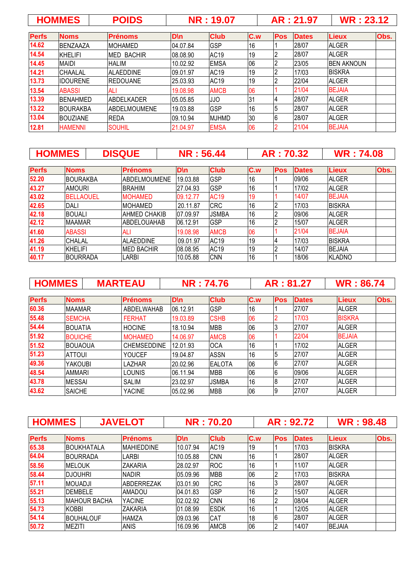|              | <b>HOMMES</b>   | <b>POIDS</b>        |             | <b>NR: 19.07</b> |     |            | AR: 21.97    | <b>WR: 23.12</b> |      |
|--------------|-----------------|---------------------|-------------|------------------|-----|------------|--------------|------------------|------|
| <b>Perfs</b> | <b>Noms</b>     | <b>Prénoms</b>      | <b>D</b> \n | <b>Club</b>      | C.w | <b>Pos</b> | <b>Dates</b> | <b>Lieux</b>     | Obs. |
| 14.62        | <b>BENZAAZA</b> | <b>IMOHAMED</b>     | 04.07.84    | <b>GSP</b>       | 16  |            | 28/07        | <b>ALGER</b>     |      |
| 14.54        | KHELIFI         | <b>MED BACHIR</b>   | 08.08.90    | <b>AC19</b>      | 19  |            | 28/07        | <b>ALGER</b>     |      |
| 14.45        | <b>MAIDI</b>    | <b>HALIM</b>        | 10.02.92    | <b>EMSA</b>      | 06  | 2          | 23/05        | IBEN AKNOUN      |      |
| 14.21        | <b>CHAALAL</b>  | IALAEDDINE          | 09.01.97    | AC <sub>19</sub> | 19  |            | 17/03        | <b>BISKRA</b>    |      |
| 13.73        | <b>IDOURENE</b> | IREDOUANE           | 25.03.93    | AC <sub>19</sub> | 19  |            | 22/04        | <b>ALGER</b>     |      |
| 13.54        | <b>ABASSI</b>   | ALI                 | 19.08.98    | <b>AMCB</b>      | 06  |            | 21/04        | <b>BEJAIA</b>    |      |
| 13.39        | <b>BENAHMED</b> | IABDELKADER         | 05.05.85    | JJO              | 31  | 14         | 28/07        | <b>ALGER</b>     |      |
| 13.22        | <b>BOURAKBA</b> | <b>ABDELMOUMENE</b> | 19.03.88    | <b>GSP</b>       | 16  | 5          | 28/07        | <b>ALGER</b>     |      |
| 13.04        | <b>BOUZIANE</b> | <b>REDA</b>         | 09.10.94    | <b>MJHMD</b>     | 30  | 16         | 28/07        | <b>ALGER</b>     |      |
| 12.81        | <b>HAMENNI</b>  | <b>SOUHIL</b>       | 21.04.97    | <b>EMSA</b>      | 06  |            | 21/04        | <b>BEJAIA</b>    |      |

|              | <b>HOMMES</b>    |                                | <b>DISQUE</b>      |  | <b>NR: 56.44</b> |              |     | AR: 70.32  |              |               | <b>WR: 74.08</b> |  |
|--------------|------------------|--------------------------------|--------------------|--|------------------|--------------|-----|------------|--------------|---------------|------------------|--|
| <b>Perfs</b> | <b>Noms</b>      |                                | <b>Prénoms</b>     |  | <b>D</b> \n      | <b>Club</b>  | C.w | <b>Pos</b> | <b>Dates</b> | <b>Lieux</b>  | Obs.             |  |
| 52.20        | <b>BOURAKBA</b>  |                                | ABDELMOUMENE       |  | 19.03.88         | <b>GSP</b>   | 16  |            | 09/06        | <b>ALGER</b>  |                  |  |
| 43.27        |                  | <b>AMOURI</b><br><b>BRAHIM</b> |                    |  | 27.04.93         | <b>GSP</b>   | 16  |            | 17/02        | AI GER        |                  |  |
| 43.02        | <b>BELLAOUEL</b> |                                | <b>MOHAMED</b>     |  | 09.12.77         | <b>AC19</b>  | 19  |            | 14/07        | <b>BEJAIA</b> |                  |  |
| 42.65        | <b>DALI</b>      |                                | <b>MOHAMED</b>     |  | 20.11.87         | <b>CRC</b>   | 16  |            | 17/03        | <b>BISKRA</b> |                  |  |
| 42.18        | <b>BOUALI</b>    |                                | AHMED CHAKIB       |  | 07.09.97         | <b>JSMBA</b> | 16  |            | 09/06        | <b>ALGER</b>  |                  |  |
| 42.12        | <b>MAAMAR</b>    |                                | ABDELOUAHAB        |  | 06.12.91         | <b>GSP</b>   | 16  |            | 15/07        | <b>ALGER</b>  |                  |  |
| 41.60        | <b>ABASSI</b>    |                                | ALI                |  | 19.08.98         | <b>AMCB</b>  | 06  |            | 21/04        | <b>BEJAIA</b> |                  |  |
| 41.26        | ICHALAL          |                                | <b>ALAEDDINE</b>   |  | 09.01.97         | AC19         | 19  | 14         | 17/03        | <b>BISKRA</b> |                  |  |
| 41.19        | <b>KHELIFI</b>   |                                | <b>IMED BACHIR</b> |  | 08.08.95         | AC19         | 19  |            | 14/07        | <b>BEJAIA</b> |                  |  |
| 40.17        | <b>BOURRADA</b>  |                                | LARBI              |  | 10.05.88         | <b>CNN</b>   | 16  |            | 18/06        | KLADNO        |                  |  |

| <b>HOMMES</b> |                | <b>MARTEAU</b>     | <b>NR: 74.76</b> |               |     | AR: 81.27       |              | <b>WR: 86.74</b> |      |
|---------------|----------------|--------------------|------------------|---------------|-----|-----------------|--------------|------------------|------|
| <b>Perfs</b>  | <b>Noms</b>    | <b>Prénoms</b>     | <b>D</b> \n      | <b>Club</b>   | C.w | <b>Pos</b>      | <b>Dates</b> | <b>Lieux</b>     | Obs. |
| 60.36         | <b>MAAMAR</b>  | ABDELWAHAB         | 06.12.91         | GSP           | 16  |                 | 27/07        | <b>ALGER</b>     |      |
| 55.48         | <b>SEMCHA</b>  | <b>FERHAT</b>      | 19.03.89         | <b>CSHB</b>   | 06  |                 | 17/03        | <b>BISKRA</b>    |      |
| 54.44         | <b>BOUATIA</b> | <b>HOCINE</b>      | 18.10.94         | <b>MBB</b>    | 06  | IЗ              | 27/07        | <b>ALGER</b>     |      |
| 51.92         | <b>BOUICHE</b> | <b>MOHAMED</b>     | 14.06.97         | <b>AMCB</b>   | 06  |                 | 22/04        | <b>BEJAIA</b>    |      |
| 51.52         | <b>BOUAOUA</b> | <b>CHEMSEDDINE</b> | 12.01.93         | <b>OCA</b>    | 16  |                 | 17/02        | <b>ALGER</b>     |      |
| 51.23         | <b>ATTOUL</b>  | <b>YOUCEF</b>      | 19.04.87         | <b>ASSN</b>   | 16  | 5               | 27/07        | <b>ALGER</b>     |      |
| 49.36         | <b>YAKOUBI</b> | LAZHAR             | 20.02.96         | <b>EALOTA</b> | 06  | 6               | 27/07        | <b>ALGER</b>     |      |
| 48.54         | <b>AMMARI</b>  | <b>LOUNIS</b>      | 06.11.94         | <b>MBB</b>    | 06  | $6\phantom{.}6$ | 09/06        | <b>ALGER</b>     |      |
| 43.78         | <b>MESSAI</b>  | <b>SALIM</b>       | 23.02.97         | <b>JSMBA</b>  | 16  | 18              | 27/07        | <b>ALGER</b>     |      |
| 43.62         | <b>SAICHE</b>  | <b>YACINE</b>      | 05.02.96         | <b>MBB</b>    | 06  | 19              | 27/07        | <b>ALGER</b>     |      |

| <b>HOMMES</b> |                |                     | <b>JAVELOT</b>    |             | <b>NR: 70.20</b> |     |            | AR: 92.72    | <b>WR: 98.48</b> |      |
|---------------|----------------|---------------------|-------------------|-------------|------------------|-----|------------|--------------|------------------|------|
| <b>Perfs</b>  | <b>Noms</b>    |                     | <b>Prénoms</b>    | <b>D</b> \n | <b>Club</b>      | C.w | <b>Pos</b> | <b>Dates</b> | <b>Lieux</b>     | Obs. |
| 65.38         |                | IBOUKHATALA         | <b>MAHIEDDINE</b> | 10.07.94    | AC <sub>19</sub> | 19  |            | 17/03        | <b>BISKRA</b>    |      |
| 64.04         |                | IBOURRADA           | <b>LARBI</b>      | 10.05.88    | <b>CNN</b>       | 16  |            | 28/07        | <b>ALGER</b>     |      |
| 58.56         | <b>IMELOUK</b> |                     | <b>ZAKARIA</b>    | 28.02.97    | <b>ROC</b>       | 16  |            | 11/07        | <b>ALGER</b>     |      |
| 58.44         | Idjouhri       |                     | <b>NADIR</b>      | 05.09.96    | <b>MBB</b>       | 06  | 12         | 17/03        | <b>BISKRA</b>    |      |
| 57.11         | <b>MOUADJI</b> |                     | <b>ABDERREZAK</b> | 03.01.90    | <b>CRC</b>       | 16  | l3         | 28/07        | <b>ALGER</b>     |      |
| 55.21         | <b>DEMBELE</b> |                     | <b>AMADOU</b>     | 04.01.83    | <b>GSP</b>       | 16  | 12         | 15/07        | <b>ALGER</b>     |      |
| 55.13         |                | <b>MAHOUR BACHA</b> | <b>YACINE</b>     | 02.02.92    | <b>CNN</b>       | 16  |            | 08/04        | <b>ALGER</b>     |      |
| 54.73         | <b>KOBBI</b>   |                     | <b>ZAKARIA</b>    | 01.08.99    | <b>ESDK</b>      | 16  |            | 12/05        | <b>ALGER</b>     |      |
| 54.14         |                | BOUHALOUF           | <b>HAMZA</b>      | 09.03.96    | CAT              | 18  | 6          | 28/07        | <b>ALGER</b>     |      |
| 50.72         | <b>MEZITI</b>  |                     | <b>ANIS</b>       | 16.09.96    | <b>AMCB</b>      | 06  |            | 14/07        | <b>BEJAIA</b>    |      |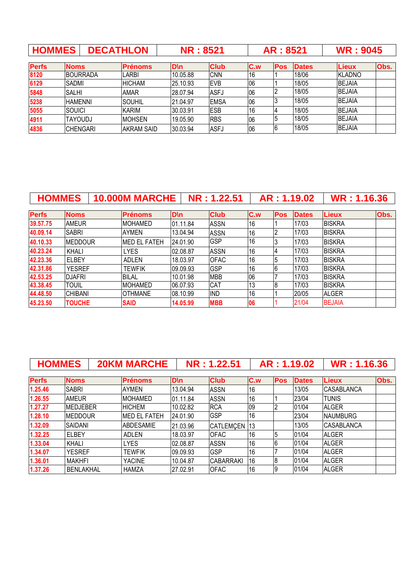| <b>HOMMES</b> |                 | <b>DECATHLON</b> | <b>NR: 8521</b>   |             |             | AR: 8521 |            | <b>WR: 9045</b> |               |      |
|---------------|-----------------|------------------|-------------------|-------------|-------------|----------|------------|-----------------|---------------|------|
| <b>Perfs</b>  | <b>Noms</b>     |                  | <b>Prénoms</b>    | <b>D</b> \n | <b>Club</b> | C.w      | <b>Pos</b> | <b>Dates</b>    | <b>Lieux</b>  | Obs. |
| 8120          | <b>BOURRADA</b> |                  | LARBI             | 10.05.88    | <b>CNN</b>  | 16       |            | 18/06           | KLADNO        |      |
| 6129          | <b>SADMI</b>    |                  | <b>HICHAM</b>     | 25.10.93    | <b>EVB</b>  | 06       |            | 18/05           | <b>BEJAIA</b> |      |
| 5848          | <b>SALHI</b>    |                  | <b>AMAR</b>       | 28.07.94    | ASFJ        | 06       |            | 18/05           | <b>BEJAIA</b> |      |
| 5238          | <b>HAMENNI</b>  |                  | <b>SOUHIL</b>     | 21.04.97    | <b>EMSA</b> | 06       |            | 18/05           | <b>BEJAIA</b> |      |
| 5055          | <b>SOUICI</b>   |                  | <b>KARIM</b>      | 30.03.91    | <b>ESB</b>  | 16       |            | 18/05           | <b>BEJAIA</b> |      |
| 4911          | <b>TAYOUDJ</b>  |                  | <b>MOHSEN</b>     | 19.05.90    | <b>RBS</b>  | 06       | 5          | 18/05           | <b>BEJAIA</b> |      |
| 4836          | <b>CHENGARI</b> |                  | <b>AKRAM SAID</b> | 30.03.94    | <b>ASFJ</b> | 06       | 16         | 18/05           | <b>BEJAIA</b> |      |

| <b>HOMMES</b> |                 | <b>10.000M MARCHE</b> |          | NR: 1.22.51 |     |            | AR: 1.19.02  | <b>WR: 1.16.36</b> |      |
|---------------|-----------------|-----------------------|----------|-------------|-----|------------|--------------|--------------------|------|
| <b>Perfs</b>  | <b>Noms</b>     | <b>Prénoms</b>        | D\n      | <b>Club</b> | C.w | <b>Pos</b> | <b>Dates</b> | <b>Lieux</b>       | Obs. |
| 39.57.75      | <b>AMEUR</b>    | <b>MOHAMED</b>        | 01.11.84 | <b>ASSN</b> | 16  |            | 17/03        | <b>BISKRA</b>      |      |
| 40.09.14      | <b>SABRI</b>    | <b>AYMEN</b>          | 13.04.94 | <b>ASSN</b> | 16  |            | 17/03        | <b>BISKRA</b>      |      |
| 40.10.33      | <b>IMEDDOUR</b> | <b>MED EL FATEH</b>   | 24.01.90 | <b>GSP</b>  | 16  | 3          | 17/03        | <b>BISKRA</b>      |      |
| 40.23.24      | KHALI           | <b>LYES</b>           | 02.08.87 | <b>ASSN</b> | 16  |            | 17/03        | <b>BISKRA</b>      |      |
| 42.23.36      | <b>IELBEY</b>   | <b>ADLEN</b>          | 18.03.97 | <b>OFAC</b> | 16  |            | 17/03        | <b>BISKRA</b>      |      |
| 42.31.86      | <b>YESREF</b>   | <b>TEWFIK</b>         | 09.09.93 | <b>GSP</b>  | 16  |            | 17/03        | <b>BISKRA</b>      |      |
| 42.53.25      | <b>DJAFRI</b>   | <b>BILAL</b>          | 10.01.98 | <b>MBB</b>  | 06  |            | 17/03        | <b>BISKRA</b>      |      |
| 43.38.45      | <b>TOUIL</b>    | <b>MOHAMED</b>        | 06.07.93 | CAT         | 13  |            | 17/03        | <b>BISKRA</b>      |      |
| 44.48.50      | <b>CHIBANI</b>  | <b>OTHMANE</b>        | 08.10.99 | <b>IND</b>  | 16  |            | 20/05        | <b>ALGER</b>       |      |
| 45.23.50      | <b>TOUCHE</b>   | <b>SAID</b>           | 14.05.99 | <b>MBB</b>  | 06  |            | 21/04        | <b>BEJAIA</b>      |      |

| <b>HOMMES</b> |                  | <b>20KM MARCHE</b>  |             | NR: 1.22.51      |     |                 | AR: 1.19.02  | <b>WR: 1.16.36</b> |      |
|---------------|------------------|---------------------|-------------|------------------|-----|-----------------|--------------|--------------------|------|
| <b>Perfs</b>  | <b>Noms</b>      | <b>Prénoms</b>      | <b>D</b> \n | <b>Club</b>      | C.w | <b>Pos</b>      | <b>Dates</b> | <b>Lieux</b>       | Obs. |
| 1.25.46       | <b>SABRI</b>     | <b>AYMEN</b>        | 13.04.94    | <b>ASSN</b>      | 16  |                 | 13/05        | <b>CASABLANCA</b>  |      |
| 1.26.55       | <b>AMEUR</b>     | <b>MOHAMED</b>      | 01.11.84    | <b>ASSN</b>      | 16  |                 | 23/04        | <b>ITUNIS</b>      |      |
| 1.27.27       | <b>MEDJEBER</b>  | <b>HICHEM</b>       | 10.02.82    | <b>RCA</b>       | 09  | 2               | 01/04        | <b>ALGER</b>       |      |
| 1.28.10       | <b>MEDDOUR</b>   | <b>MED EL FATEH</b> | 24.01.90    | <b>GSP</b>       | 16  |                 | 23/04        | <b>NAUMBURG</b>    |      |
| 1.32.09       | <b>SAIDANI</b>   | <b>ABDESAMIE</b>    | 21.03.96    | CATLEMCEN 13     |     |                 | 13/05        | <b>CASABLANCA</b>  |      |
| 1.32.25       | <b>ELBEY</b>     | ADLEN               | 18.03.97    | <b>OFAC</b>      | 16  | 15              | 01/04        | <b>ALGER</b>       |      |
| 1.33.04       | KHALI            | <b>LYES</b>         | 02.08.87    | <b>ASSN</b>      | 16  | $6\phantom{.}6$ | 01/04        | <b>ALGER</b>       |      |
| 1.34.07       | <b>YESREF</b>    | <b>TEWFIK</b>       | 09.09.93    | <b>GSP</b>       | 16  |                 | 01/04        | <b>ALGER</b>       |      |
| 1.36.01       | <b>MAKHFI</b>    | <b>YACINE</b>       | 10.04.87    | <b>CABARRAKI</b> | 16  | 8               | 01/04        | <b>ALGER</b>       |      |
| 1.37.26       | <b>BENLAKHAL</b> | <b>HAMZA</b>        | 27.02.91    | <b>OFAC</b>      | 16  | 19              | 01/04        | <b>ALGER</b>       |      |